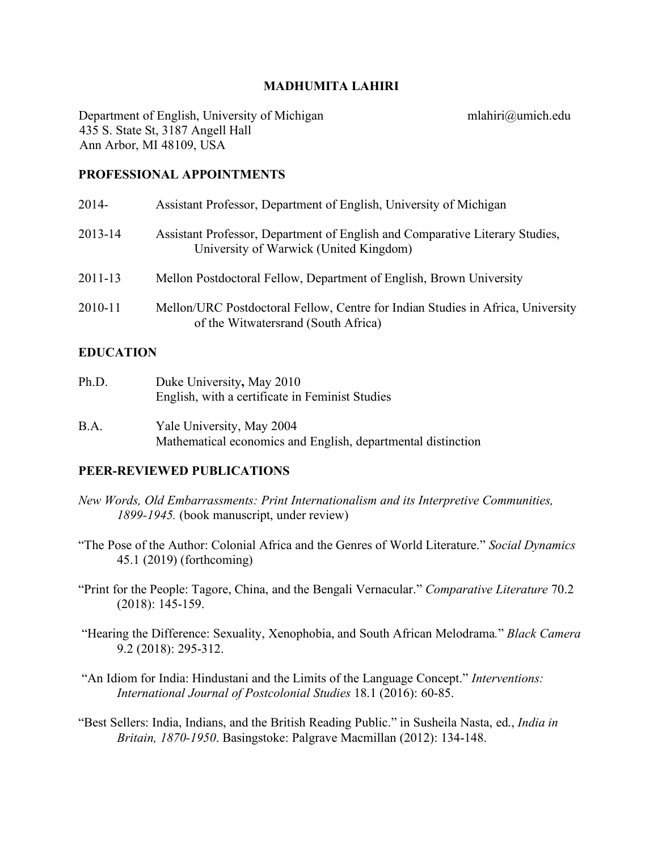#### **MADHUMITA LAHIRI**

Department of English, University of Michigan 435 S. State St, 3187 Angell Hall Ann Arbor, MI 48109, USA

mlahiri@umich.edu

#### **PROFESSIONAL APPOINTMENTS**

| $2014-$ | Assistant Professor, Department of English, University of Michigan                                                     |
|---------|------------------------------------------------------------------------------------------------------------------------|
| 2013-14 | Assistant Professor, Department of English and Comparative Literary Studies,<br>University of Warwick (United Kingdom) |
| 2011-13 | Mellon Postdoctoral Fellow, Department of English, Brown University                                                    |
| 2010-11 | Mellon/URC Postdoctoral Fellow, Centre for Indian Studies in Africa, University<br>of the Witwatersrand (South Africa) |

#### **EDUCATION**

| Ph.D. | Duke University, May 2010<br>English, with a certificate in Feminist Studies              |
|-------|-------------------------------------------------------------------------------------------|
| B.A.  | Yale University, May 2004<br>Mathematical economics and English, departmental distinction |

#### **PEER-REVIEWED PUBLICATIONS**

- *New Words, Old Embarrassments: Print Internationalism and its Interpretive Communities, 1899-1945.* (book manuscript, under review)
- "The Pose of the Author: Colonial Africa and the Genres of World Literature." *Social Dynamics*  45.1 (2019) (forthcoming)
- "Print for the People: Tagore, China, and the Bengali Vernacular." *Comparative Literature* 70.2 (2018): 145-159.
- "Hearing the Difference: Sexuality, Xenophobia, and South African Melodrama*.*" *Black Camera* 9.2 (2018): 295-312.
- "An Idiom for India: Hindustani and the Limits of the Language Concept." *Interventions: International Journal of Postcolonial Studies* 18.1 (2016): 60-85.
- "Best Sellers: India, Indians, and the British Reading Public." in Susheila Nasta, ed., *India in Britain, 1870-1950*. Basingstoke: Palgrave Macmillan (2012): 134-148.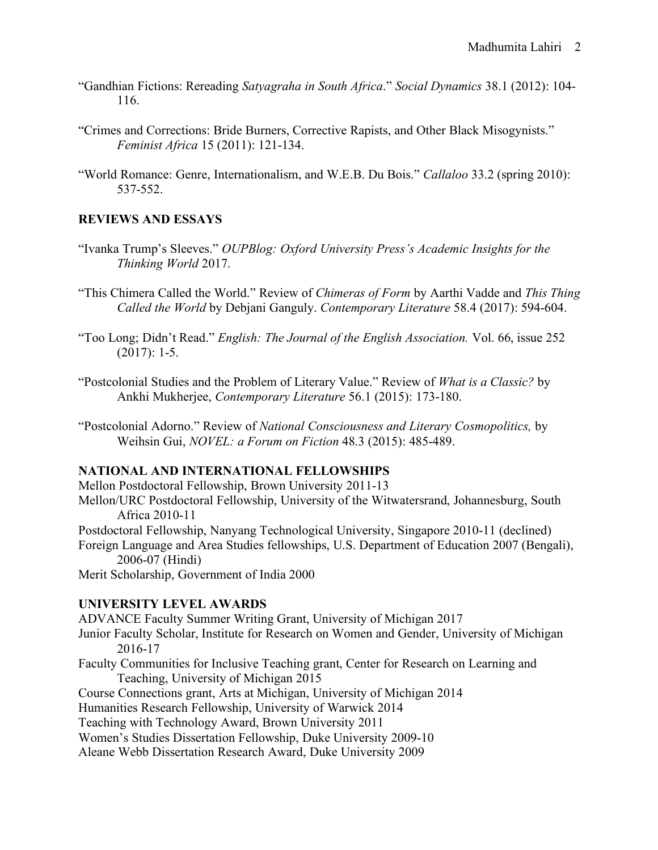- "Gandhian Fictions: Rereading *Satyagraha in South Africa*." *Social Dynamics* 38.1 (2012): 104- 116.
- "Crimes and Corrections: Bride Burners, Corrective Rapists, and Other Black Misogynists." *Feminist Africa* 15 (2011): 121-134.
- "World Romance: Genre, Internationalism, and W.E.B. Du Bois." *Callaloo* 33.2 (spring 2010): 537-552.

# **REVIEWS AND ESSAYS**

- "Ivanka Trump's Sleeves." *OUPBlog: Oxford University Press's Academic Insights for the Thinking World* 2017.
- "This Chimera Called the World." Review of *Chimeras of Form* by Aarthi Vadde and *This Thing Called the World* by Debjani Ganguly. *Contemporary Literature* 58.4 (2017): 594-604.
- "Too Long; Didn't Read." *English: The Journal of the English Association.* Vol. 66, issue 252 (2017): 1-5.
- "Postcolonial Studies and the Problem of Literary Value." Review of *What is a Classic?* by Ankhi Mukherjee, *Contemporary Literature* 56.1 (2015): 173-180.

"Postcolonial Adorno." Review of *National Consciousness and Literary Cosmopolitics,* by Weihsin Gui, *NOVEL: a Forum on Fiction* 48.3 (2015): 485-489.

### **NATIONAL AND INTERNATIONAL FELLOWSHIPS**

Mellon Postdoctoral Fellowship, Brown University 2011-13 Mellon/URC Postdoctoral Fellowship, University of the Witwatersrand, Johannesburg, South Africa 2010-11 Postdoctoral Fellowship, Nanyang Technological University, Singapore 2010-11 (declined) Foreign Language and Area Studies fellowships, U.S. Department of Education 2007 (Bengali), 2006-07 (Hindi)

Merit Scholarship, Government of India 2000

### **UNIVERSITY LEVEL AWARDS**

ADVANCE Faculty Summer Writing Grant, University of Michigan 2017

Junior Faculty Scholar, Institute for Research on Women and Gender, University of Michigan 2016-17

Faculty Communities for Inclusive Teaching grant, Center for Research on Learning and Teaching, University of Michigan 2015

Course Connections grant, Arts at Michigan, University of Michigan 2014

Humanities Research Fellowship, University of Warwick 2014

Teaching with Technology Award, Brown University 2011

Women's Studies Dissertation Fellowship, Duke University 2009-10

Aleane Webb Dissertation Research Award, Duke University 2009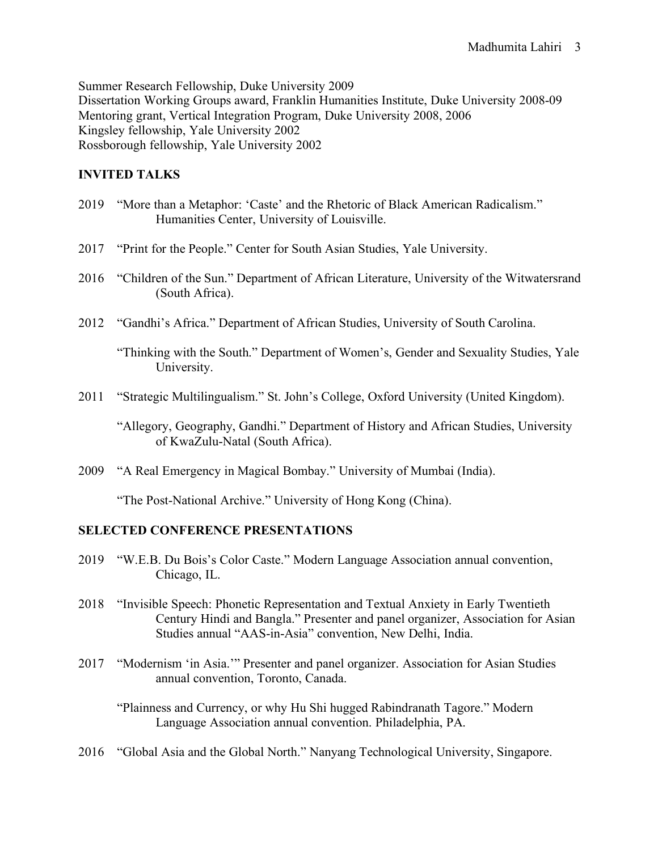Summer Research Fellowship, Duke University 2009 Dissertation Working Groups award, Franklin Humanities Institute, Duke University 2008-09 Mentoring grant, Vertical Integration Program, Duke University 2008, 2006 Kingsley fellowship, Yale University 2002 Rossborough fellowship, Yale University 2002

# **INVITED TALKS**

- 2019 "More than a Metaphor: 'Caste' and the Rhetoric of Black American Radicalism." Humanities Center, University of Louisville.
- 2017 "Print for the People." Center for South Asian Studies, Yale University.
- 2016 "Children of the Sun." Department of African Literature, University of the Witwatersrand (South Africa).
- 2012 "Gandhi's Africa." Department of African Studies, University of South Carolina.

"Thinking with the South." Department of Women's, Gender and Sexuality Studies, Yale University.

2011 "Strategic Multilingualism." St. John's College, Oxford University (United Kingdom).

"Allegory, Geography, Gandhi." Department of History and African Studies, University of KwaZulu-Natal (South Africa).

2009 "A Real Emergency in Magical Bombay." University of Mumbai (India).

"The Post-National Archive." University of Hong Kong (China).

### **SELECTED CONFERENCE PRESENTATIONS**

- 2019 "W.E.B. Du Bois's Color Caste." Modern Language Association annual convention, Chicago, IL.
- 2018 "Invisible Speech: Phonetic Representation and Textual Anxiety in Early Twentieth Century Hindi and Bangla." Presenter and panel organizer, Association for Asian Studies annual "AAS-in-Asia" convention, New Delhi, India.
- 2017 "Modernism 'in Asia.'" Presenter and panel organizer. Association for Asian Studies annual convention, Toronto, Canada.

"Plainness and Currency, or why Hu Shi hugged Rabindranath Tagore." Modern Language Association annual convention. Philadelphia, PA.

2016 "Global Asia and the Global North." Nanyang Technological University, Singapore.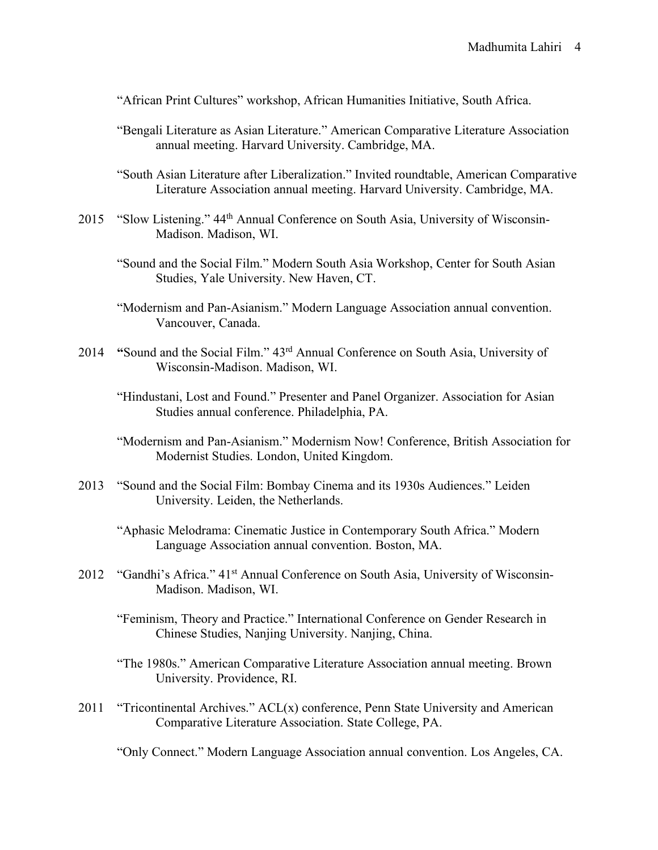"African Print Cultures" workshop, African Humanities Initiative, South Africa.

- "Bengali Literature as Asian Literature." American Comparative Literature Association annual meeting. Harvard University. Cambridge, MA.
- "South Asian Literature after Liberalization." Invited roundtable, American Comparative Literature Association annual meeting. Harvard University. Cambridge, MA.
- 2015 "Slow Listening." 44th Annual Conference on South Asia, University of Wisconsin-Madison. Madison, WI.
	- "Sound and the Social Film." Modern South Asia Workshop, Center for South Asian Studies, Yale University. New Haven, CT.
	- "Modernism and Pan-Asianism." Modern Language Association annual convention. Vancouver, Canada.
- 2014 **"**Sound and the Social Film." 43rd Annual Conference on South Asia, University of Wisconsin-Madison. Madison, WI.
	- "Hindustani, Lost and Found." Presenter and Panel Organizer. Association for Asian Studies annual conference. Philadelphia, PA.
	- "Modernism and Pan-Asianism." Modernism Now! Conference, British Association for Modernist Studies. London, United Kingdom.
- 2013 "Sound and the Social Film: Bombay Cinema and its 1930s Audiences." Leiden University. Leiden, the Netherlands.
	- "Aphasic Melodrama: Cinematic Justice in Contemporary South Africa." Modern Language Association annual convention. Boston, MA.
- 2012 "Gandhi's Africa." 41<sup>st</sup> Annual Conference on South Asia, University of Wisconsin-Madison. Madison, WI.
	- "Feminism, Theory and Practice." International Conference on Gender Research in Chinese Studies, Nanjing University. Nanjing, China.
	- "The 1980s." American Comparative Literature Association annual meeting. Brown University. Providence, RI.
- 2011 "Tricontinental Archives." ACL(x) conference, Penn State University and American Comparative Literature Association. State College, PA.

"Only Connect." Modern Language Association annual convention. Los Angeles, CA.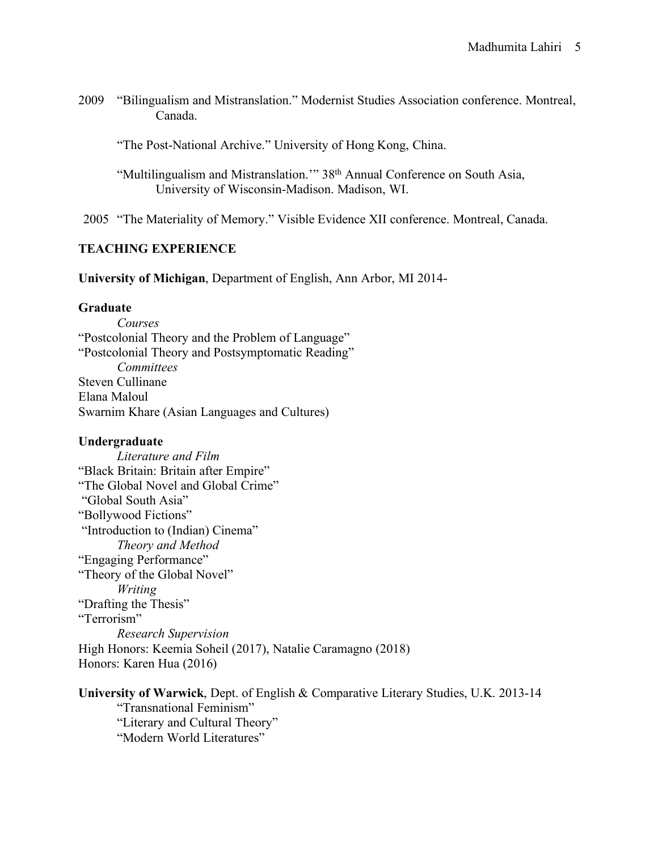2009 "Bilingualism and Mistranslation." Modernist Studies Association conference. Montreal, Canada.

"The Post-National Archive." University of Hong Kong, China.

"Multilingualism and Mistranslation.'" 38th Annual Conference on South Asia, University of Wisconsin-Madison. Madison, WI.

2005 "The Materiality of Memory." Visible Evidence XII conference. Montreal, Canada.

#### **TEACHING EXPERIENCE**

**University of Michigan**, Department of English, Ann Arbor, MI 2014-

#### **Graduate**

*Courses* "Postcolonial Theory and the Problem of Language" "Postcolonial Theory and Postsymptomatic Reading" *Committees* Steven Cullinane Elana Maloul Swarnim Khare (Asian Languages and Cultures)

#### **Undergraduate**

*Literature and Film*  "Black Britain: Britain after Empire" "The Global Novel and Global Crime" "Global South Asia" "Bollywood Fictions" "Introduction to (Indian) Cinema" *Theory and Method* "Engaging Performance" "Theory of the Global Novel" *Writing*  "Drafting the Thesis" "Terrorism" *Research Supervision* High Honors: Keemia Soheil (2017), Natalie Caramagno (2018) Honors: Karen Hua (2016)

**University of Warwick**, Dept. of English & Comparative Literary Studies, U.K. 2013-14

"Transnational Feminism" "Literary and Cultural Theory" "Modern World Literatures"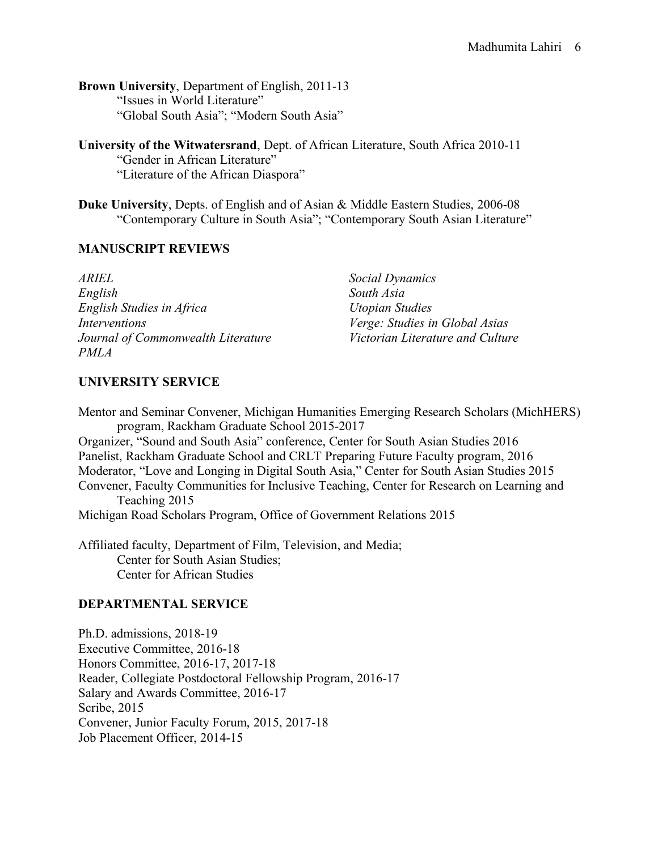**Brown University**, Department of English, 2011-13 "Issues in World Literature" "Global South Asia"; "Modern South Asia"

**University of the Witwatersrand**, Dept. of African Literature, South Africa 2010-11 "Gender in African Literature" "Literature of the African Diaspora"

**Duke University**, Depts. of English and of Asian & Middle Eastern Studies, 2006-08 "Contemporary Culture in South Asia"; "Contemporary South Asian Literature"

#### **MANUSCRIPT REVIEWS**

*ARIEL English English Studies in Africa Interventions Journal of Commonwealth Literature PMLA Social Dynamics South Asia Utopian Studies Verge: Studies in Global Asias Victorian Literature and Culture*

### **UNIVERSITY SERVICE**

Mentor and Seminar Convener, Michigan Humanities Emerging Research Scholars (MichHERS) program, Rackham Graduate School 2015-2017

Organizer, "Sound and South Asia" conference, Center for South Asian Studies 2016 Panelist, Rackham Graduate School and CRLT Preparing Future Faculty program, 2016 Moderator, "Love and Longing in Digital South Asia," Center for South Asian Studies 2015 Convener, Faculty Communities for Inclusive Teaching, Center for Research on Learning and Teaching 2015

Michigan Road Scholars Program, Office of Government Relations 2015

Affiliated faculty, Department of Film, Television, and Media; Center for South Asian Studies; Center for African Studies

#### **DEPARTMENTAL SERVICE**

Ph.D. admissions, 2018-19 Executive Committee, 2016-18 Honors Committee, 2016-17, 2017-18 Reader, Collegiate Postdoctoral Fellowship Program, 2016-17 Salary and Awards Committee, 2016-17 Scribe, 2015 Convener, Junior Faculty Forum, 2015, 2017-18 Job Placement Officer, 2014-15